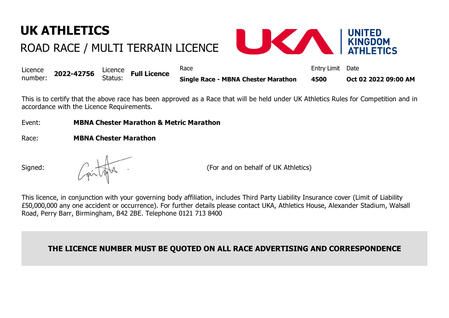## **UK ATHLETICS**

## ROAD RACE / MULTI TERRAIN LICENCE



| Licence | 2022-42756 $\frac{\text{Licence}}{\text{Shtree}}$ Full Licence |         | Race                                       | Entry Limit Date |                      |
|---------|----------------------------------------------------------------|---------|--------------------------------------------|------------------|----------------------|
| number: |                                                                | Status: | <b>Single Race - MBNA Chester Marathon</b> | 4500             | Oct 02 2022 09:00 AM |

This is to certify that the above race has been approved as a Race that will be held under UK Athletics Rules for Competition and in accordance with the Licence Requirements.

Event: **MBNA Chester Marathon & Metric Marathon**

Race: **MBNA Chester Marathon**

Signed:  $\bigcap_{n=1}^{\infty}$   $\bigcup_{n=1}^{\infty}$  and  $\bigcap_{n=1}^{\infty}$  (For and on behalf of UK Athletics)

This licence, in conjunction with your governing body affiliation, includes Third Party Liability Insurance cover (Limit of Liability £50,000,000 any one accident or occurrence). For further details please contact UKA, Athletics House, Alexander Stadium, Walsall Road, Perry Barr, Birmingham, B42 2BE. Telephone 0121 713 8400

**THE LICENCE NUMBER MUST BE QUOTED ON ALL RACE ADVERTISING AND CORRESPONDENCE**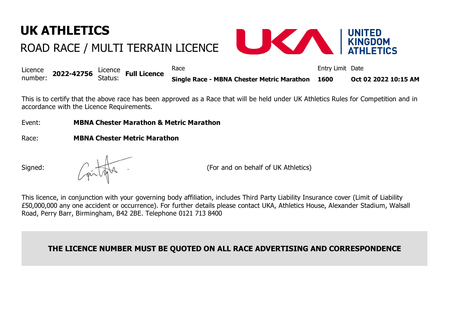## **UK ATHLETICS** ROAD RACE / MULTI TERRAIN LICENCE



|  | Licence<br>number: 2022-42756 Status: Full Licence |  |  | Race                                            | Entry Limit Date |                      |
|--|----------------------------------------------------|--|--|-------------------------------------------------|------------------|----------------------|
|  |                                                    |  |  | Single Race - MBNA Chester Metric Marathon 1600 |                  | Oct 02 2022 10:15 AM |

This is to certify that the above race has been approved as a Race that will be held under UK Athletics Rules for Competition and in accordance with the Licence Requirements.

Event: **MBNA Chester Marathon & Metric Marathon**

Race: **MBNA Chester Metric Marathon**

Signed:  $\bigcap_{n=1}^{\infty}$   $\bigcup_{n=1}^{\infty}$  and  $\bigcap_{n=1}^{\infty}$  (For and on behalf of UK Athletics)

This licence, in conjunction with your governing body affiliation, includes Third Party Liability Insurance cover (Limit of Liability £50,000,000 any one accident or occurrence). For further details please contact UKA, Athletics House, Alexander Stadium, Walsall Road, Perry Barr, Birmingham, B42 2BE. Telephone 0121 713 8400

**THE LICENCE NUMBER MUST BE QUOTED ON ALL RACE ADVERTISING AND CORRESPONDENCE**